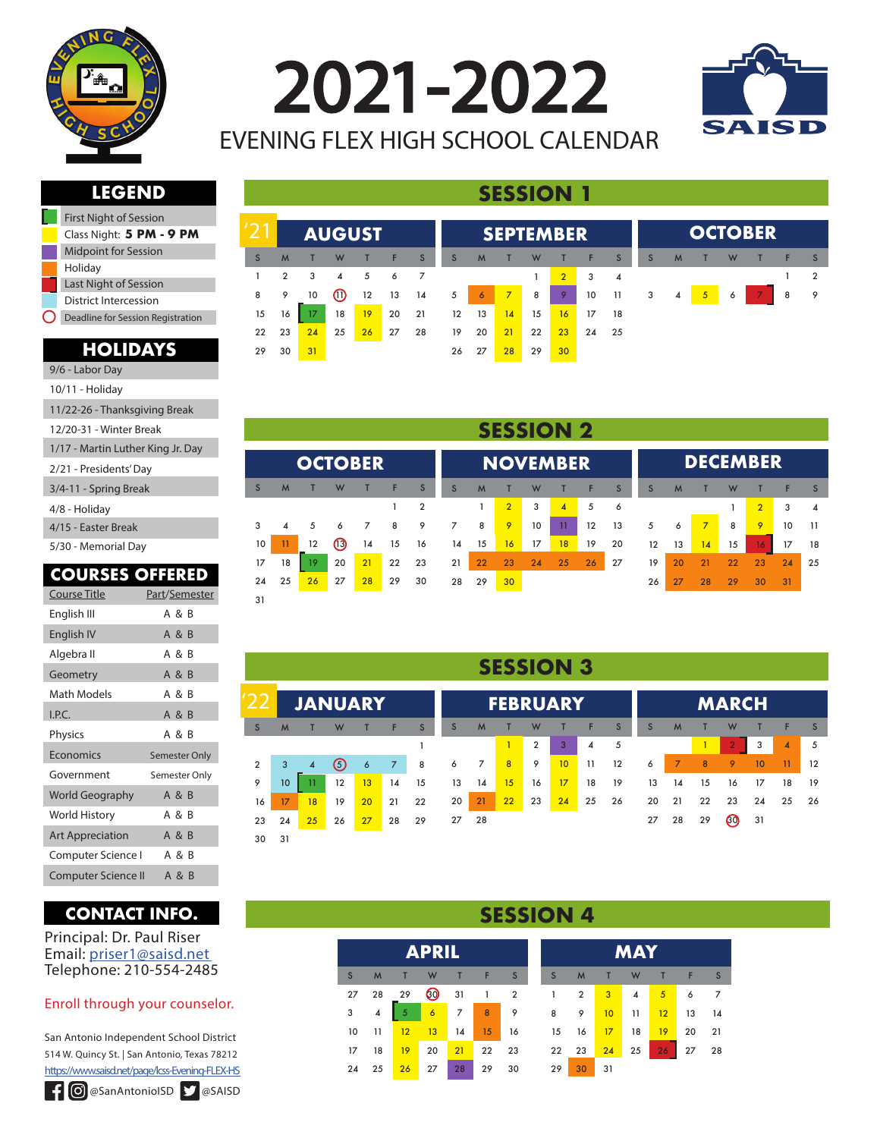

2021-2022 EVENING FLEX HIGH SCHOOL CALENDAR



**OCTOBER**

## **LEGEND**

 $121$ 

**AUGUST**

| <b>First Night of Session</b>     |
|-----------------------------------|
| Class Night: 5 PM - 9 PM          |
| <b>Midpoint for Session</b>       |
| Holiday                           |
| Last Night of Session             |
| District Intercession             |
| Deadline for Session Registration |
|                                   |

### **HOLIDAYS**

| 9/6 - Labor Day                   |
|-----------------------------------|
| 10/11 - Holiday                   |
| 11/22-26 - Thanksgiving Break     |
| 12/20-31 - Winter Break           |
| 1/17 - Martin Luther King Jr. Day |
| 2/21 - Presidents' Day            |
| 3/4-11 - Spring Break             |
| 4/8 - Holiday                     |
| 4/15 - Easter Break               |
| 5/30 - Memorial Day               |
|                                   |

### **COURSES OFFERED**

| <b>Course Title</b>     | Part/Semester |
|-------------------------|---------------|
| English III             | A & B         |
| English IV              | A & B         |
| Algebra II              | A & B         |
| Geometry                | A & B         |
| Math Models             | A & B         |
| I.P.C.                  | A & B         |
| Physics                 | A & B         |
| Economics               | Semester Only |
| Government              | Semester Only |
| World Geography         | A & B         |
| World History           | A & B         |
| <b>Art Appreciation</b> | A & B         |
| Computer Science I      | A & B         |
| Computer Science II     | A & B         |

## **CONTACT INFO.**

Principal: Dr. Paul Riser Email: priser1@saisd.net Telephone: 210-554-2485

### Enroll through your counselor.

San Antonio Independent School District 514 W. Quincy St. | San Antonio, Texas 78212 https://www.saisd.net/page/lcss-Evening-FLEX-HS

| --           |                |                         | AUUUJI         |             |          |                |                |                | JLI ILIVIDLIN  |    |                |              |                                |              |   |      |   | U JI U DEN     |      |   |
|--------------|----------------|-------------------------|----------------|-------------|----------|----------------|----------------|----------------|----------------|----|----------------|--------------|--------------------------------|--------------|---|------|---|----------------|------|---|
| <sub>S</sub> | M              | $-1$                    | W              | æ           | F.       | S              | S              | M              | $\mathsf{T}$   | W  | æ              | $-F$         | $\sim$ S $\blacktriangleright$ | <sub>S</sub> | M | - 11 | W | $\blacksquare$ | 41 Z | S |
| $\mathbf{1}$ | $\overline{2}$ | $\overline{\mathbf{3}}$ | $\overline{4}$ | $5^{\circ}$ | 6        | $\overline{7}$ |                |                |                |    | $\overline{2}$ | $\mathbf{3}$ | $\overline{4}$                 |              |   |      |   |                |      | 2 |
| 8            | 9              | 10                      | $\omega$       |             | 12 13 14 |                | 5 <sup>1</sup> | $\overline{6}$ | 7 <sup>2</sup> | 8  | 9 <sup>°</sup> | 10           | 11                             | 3            | 4 | $-5$ | 6 | 7 <sup>7</sup> | 8    | 9 |
| 15           | 16             | 17 <sup>2</sup>         | 18             | 19          | 20 21    |                | 12             | 13             | 14             | 15 | 16             | 17           | 18                             |              |   |      |   |                |      |   |
| 22           | 23             | 24                      | 25             | 26          | 27       | 28             | 19             | 20             | 21             | 22 | 23             | 24 25        |                                |              |   |      |   |                |      |   |
| 29           | 30             | 31                      |                |             |          |                |                | 26 27          | 28             | 29 | 30             |              |                                |              |   |      |   |                |      |   |
|              |                |                         |                |             |          |                |                |                |                |    |                |              |                                |              |   |      |   |                |      |   |
|              |                |                         |                |             |          |                |                |                |                |    |                |              |                                |              |   |      |   |                |      |   |

**SEDTEMBER** 

**SESSION 1**

|    |    |                |      |    |    |                |    |    | <b>SESSION 2</b> |    |                |    |              |    |    |    |    |                 |    |                        |
|----|----|----------------|------|----|----|----------------|----|----|------------------|----|----------------|----|--------------|----|----|----|----|-----------------|----|------------------------|
|    |    | <b>OCTOBER</b> |      |    |    |                |    |    | <b>NOVEMBER</b>  |    |                |    |              |    |    |    |    | <b>DECEMBER</b> |    |                        |
| S  | M  |                | W    |    | F  | S              | S  | M  |                  | W  |                | F  | $\mathsf{S}$ | S  | M  |    | W  |                 | F  | S                      |
|    |    |                |      |    |    | $\overline{2}$ |    |    | $\overline{2}$   | 3  | $\overline{A}$ | 5  | 6            |    |    |    |    | $\overline{2}$  | 3  | $\boldsymbol{\Lambda}$ |
| 3  | 4  | 5              | 6    |    | 8  | 9              |    | 8  | 9                | 10 | 11             | 12 | 13           | 5  | 6  | 7  | 8  | 9               | 10 | 11                     |
| 10 | 11 | 12             | (13) | 14 | 15 | 16             | 14 | 15 | 16               | 17 | 18             | 19 | 20           | 12 | 13 | 14 | 15 | 16              | 17 | 18                     |
| 17 | 18 | 19             | 20   | 21 | 22 | 23             | 21 | 22 | 23               | 24 | 25             | 26 | 27           | 19 | 20 | 21 | 22 | 23              | 24 | 25                     |
| 24 | 25 | 26             | 27   | 28 | 29 | 30             | 28 | 29 | 30               |    |                |    |              | 26 | 27 | 28 | 29 | 30              | 31 |                        |
| 31 |    |                |      |    |    |                |    |    |                  |    |                |    |              |    |    |    |    |                 |    |                        |

### **SESSION 3**

|                |    | <b>JANUARY</b> |         |    |                |    |    |    | <b>FEBRUARY</b> |                |    |    |                   |    |                |    | <b>MARCH</b>         |    |                |     |
|----------------|----|----------------|---------|----|----------------|----|----|----|-----------------|----------------|----|----|-------------------|----|----------------|----|----------------------|----|----------------|-----|
| S              | M  |                | W       |    | F              | S  | S  | M  |                 | W              |    | F  | S                 | S  | M              |    | W                    |    | Е              | S   |
|                |    |                |         |    |                |    |    |    |                 | $\overline{2}$ | 3  | 4  | 5                 |    |                |    | $\overline{2}$       | 3  | $\overline{A}$ | 5   |
| $\overline{2}$ | 3  | $\overline{4}$ | $\circ$ | 6  | $\overline{7}$ | 8  | 6  | 7  | 8               | 9              | 10 | 11 | $12 \overline{ }$ | 6  | $\overline{7}$ | 8  | 9                    | 10 | 11             | 12  |
| 9              | 10 | 11             | 12      | 13 | 14             | 15 | 13 | 14 | 15              | 16             | 17 | 18 | 19                | 13 | 14             | 15 | 16                   | 17 | 18             | 19  |
| 16             | 17 | 18             | 19      | 20 | 21             | 22 | 20 | 21 | 22              | 23             | 24 | 25 | 26                | 20 | 21             | 22 | 23                   | 24 | 25             | -26 |
| 23             | 24 | 25             | 26      | 27 | 28             | 29 | 27 | 28 |                 |                |    |    |                   | 27 | 28             | 29 | $\boldsymbol{\beta}$ | 31 |                |     |
| 30             | 31 |                |         |    |                |    |    |    |                 |                |    |    |                   |    |                |    |                      |    |                |     |

### **SESSION 4**

|                 |                |                | <b>APRIL</b>   |       |                         |             |      |                         |                 | <b>MAY</b>     |                 |          |                |
|-----------------|----------------|----------------|----------------|-------|-------------------------|-------------|------|-------------------------|-----------------|----------------|-----------------|----------|----------------|
| S.              | M              | $\blacksquare$ | W              | п     | F                       | S           | S    | M                       | $\mathsf{T}$    | W              | T.              | ÷        | $\mathsf{S}$   |
| 27              | 28             | 29             |                |       | 31 1 2                  |             | $-1$ | $\overline{\mathbf{2}}$ | 3 <sup>2</sup>  | $\overline{4}$ | $5-1$           | 6        | $\overline{7}$ |
| $\overline{3}$  | $\overline{4}$ | 5              | 6 <sup>7</sup> |       | $\overline{\mathbf{8}}$ |             |      | 9 <sup>o</sup>          | $10-10$         | 11             | 12              | 13       | 14             |
| 10              | 11             | 12             | $-13$          | 14    | 15                      | 16          | 15   | 16                      | 17 <sup>2</sup> | 18             | 19 <sup>°</sup> | 20       | 21             |
| 17 <sup>2</sup> | 18             | $19$ 20        |                | $-21$ |                         | 22 23 22 23 |      |                         | 24              | $25 \mid$      |                 | 26 27 28 |                |
| 24              | 25             | 26             | 27             | 28    | 29                      | 30          | 29   | 30                      | 31              |                |                 |          |                |